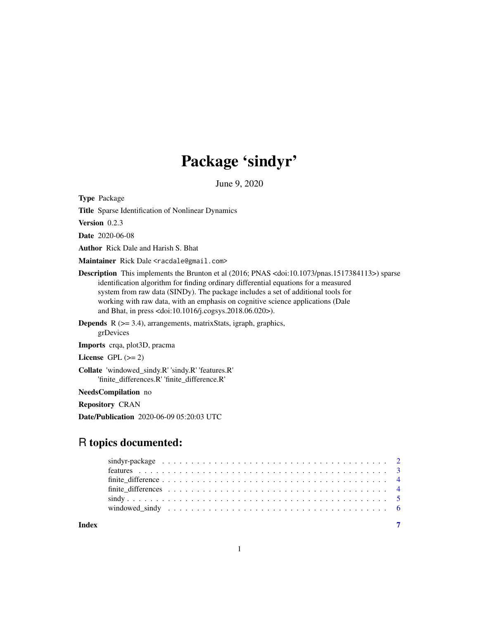## Package 'sindyr'

June 9, 2020

Type Package

Title Sparse Identification of Nonlinear Dynamics

Version 0.2.3

Date 2020-06-08

Author Rick Dale and Harish S. Bhat

Maintainer Rick Dale <racdale@gmail.com>

- Description This implements the Brunton et al (2016; PNAS <doi:10.1073/pnas.1517384113>) sparse identification algorithm for finding ordinary differential equations for a measured system from raw data (SINDy). The package includes a set of additional tools for working with raw data, with an emphasis on cognitive science applications (Dale and Bhat, in press <doi:10.1016/j.cogsys.2018.06.020>).
- **Depends**  $R$  ( $>= 3.4$ ), arrangements, matrixStats, igraph, graphics, grDevices

Imports crqa, plot3D, pracma

License GPL  $(>= 2)$ 

Collate 'windowed\_sindy.R' 'sindy.R' 'features.R' 'finite\_differences.R' 'finite\_difference.R'

NeedsCompilation no

Repository CRAN

Date/Publication 2020-06-09 05:20:03 UTC

## R topics documented:

**Index** [7](#page-6-0) **7**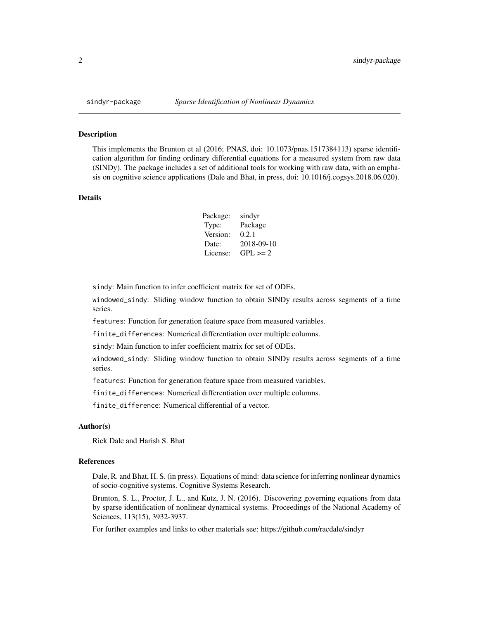<span id="page-1-0"></span>

## Description

This implements the Brunton et al (2016; PNAS, doi: 10.1073/pnas.1517384113) sparse identification algorithm for finding ordinary differential equations for a measured system from raw data (SINDy). The package includes a set of additional tools for working with raw data, with an emphasis on cognitive science applications (Dale and Bhat, in press, doi: 10.1016/j.cogsys.2018.06.020).

## Details

| Package: | sindyr       |
|----------|--------------|
| Type:    | Package      |
| Version: | 0.2.1        |
| Date:    | 2018-09-10   |
| License: | $GPL \geq 2$ |

sindy: Main function to infer coefficient matrix for set of ODEs.

windowed\_sindy: Sliding window function to obtain SINDy results across segments of a time series.

features: Function for generation feature space from measured variables.

finite\_differences: Numerical differentiation over multiple columns.

sindy: Main function to infer coefficient matrix for set of ODEs.

windowed\_sindy: Sliding window function to obtain SINDy results across segments of a time series.

features: Function for generation feature space from measured variables.

finite\_differences: Numerical differentiation over multiple columns.

finite\_difference: Numerical differential of a vector.

## Author(s)

Rick Dale and Harish S. Bhat

#### References

Dale, R. and Bhat, H. S. (in press). Equations of mind: data science for inferring nonlinear dynamics of socio-cognitive systems. Cognitive Systems Research.

Brunton, S. L., Proctor, J. L., and Kutz, J. N. (2016). Discovering governing equations from data by sparse identification of nonlinear dynamical systems. Proceedings of the National Academy of Sciences, 113(15), 3932-3937.

For further examples and links to other materials see: https://github.com/racdale/sindyr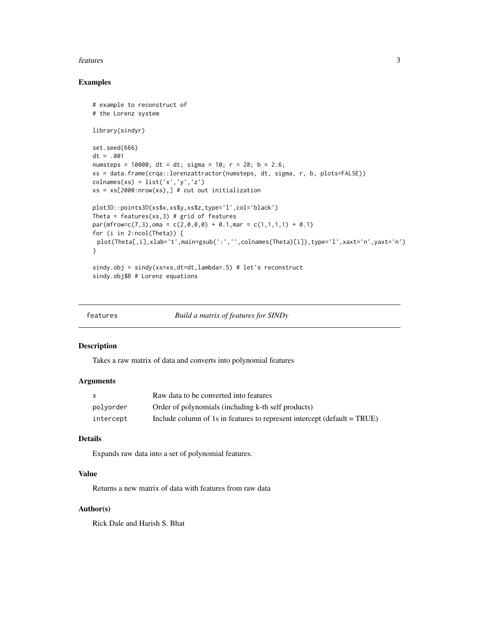## <span id="page-2-0"></span>features 3

## Examples

```
# example to reconstruct of
# the Lorenz system
library(sindyr)
set.seed(666)
dt = .001
numsteps = 10000; dt = dt; sigma = 10; r = 28; b = 2.6;
xs = data.frame(crqa::lorenzattractor(numsteps, dt, sigma, r, b, plots=FALSE))
\text{colnames}(xs) = \text{list('x', 'y', 'z')})xs = xs[2000:nrow(xs),] # cut out initialization
plot3D::points3D(xs$x,xs$y,xs$z,type='l',col='black')
Theta = features(xs, 3) # grid of features
par(mfrow=c(7,3),oma = c(2,0,0,0) + 0.1,mar = c(1,1,1,1) + 0.1)for (i in 2:ncol(Theta)) {
 plot(Theta[,i],xlab='t',main=gsub(':','',colnames(Theta)[i]),type='l',xaxt='n',yaxt='n')
}
sindy.obj = sindy(xs=xs,dt=dt,lambda=.5) # let's reconstruct
sindy.obj$B # Lorenz equations
```

| features | Build a matrix of features for SINDy |
|----------|--------------------------------------|
|          |                                      |

## Description

Takes a raw matrix of data and converts into polynomial features

## Arguments

| X         | Raw data to be converted into features                                   |
|-----------|--------------------------------------------------------------------------|
| polvorder | Order of polynomials (including k-th self products)                      |
| intercept | Include column of 1s in features to represent intercept (default = TRUE) |

## Details

Expands raw data into a set of polynomial features.

## Value

Returns a new matrix of data with features from raw data

## Author(s)

Rick Dale and Harish S. Bhat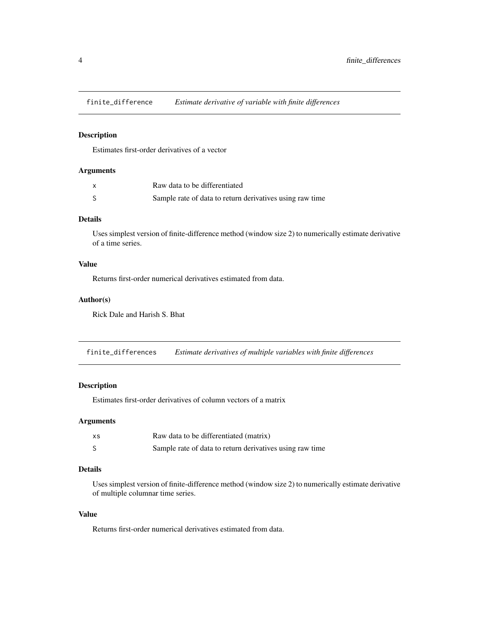<span id="page-3-0"></span>

## Description

Estimates first-order derivatives of a vector

## Arguments

| $\mathsf{x}$ | Raw data to be differentiated                            |
|--------------|----------------------------------------------------------|
|              | Sample rate of data to return derivatives using raw time |

## Details

Uses simplest version of finite-difference method (window size 2) to numerically estimate derivative of a time series.

## Value

Returns first-order numerical derivatives estimated from data.

## Author(s)

Rick Dale and Harish S. Bhat

finite\_differences *Estimate derivatives of multiple variables with finite differences*

## Description

Estimates first-order derivatives of column vectors of a matrix

## Arguments

| хs | Raw data to be differentiated (matrix)                   |
|----|----------------------------------------------------------|
|    | Sample rate of data to return derivatives using raw time |

## Details

Uses simplest version of finite-difference method (window size 2) to numerically estimate derivative of multiple columnar time series.

## Value

Returns first-order numerical derivatives estimated from data.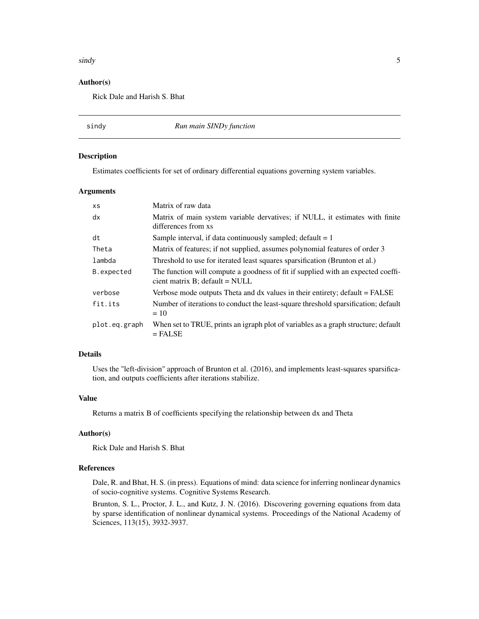## <span id="page-4-0"></span> $s$ indy  $5$

## Author(s)

Rick Dale and Harish S. Bhat

sindy *Run main SINDy function*

## Description

Estimates coefficients for set of ordinary differential equations governing system variables.

## Arguments

| <b>XS</b>     | Matrix of raw data                                                                                                 |
|---------------|--------------------------------------------------------------------------------------------------------------------|
| dx            | Matrix of main system variable dervatives; if NULL, it estimates with finite<br>differences from xs                |
| dt            | Sample interval, if data continuously sampled; default $= 1$                                                       |
| Theta         | Matrix of features; if not supplied, assumes polynomial features of order 3                                        |
| lambda        | Threshold to use for iterated least squares sparsification (Brunton et al.)                                        |
| B.expected    | The function will compute a goodness of fit if supplied with an expected coeffi-<br>cient matrix B; default = NULL |
| verbose       | Verbose mode outputs Theta and dx values in their entirety; default = FALSE                                        |
| fit.its       | Number of iterations to conduct the least-square threshold sparsification; default<br>$= 10$                       |
| plot.eq.graph | When set to TRUE, prints an igraph plot of variables as a graph structure; default<br>$=$ FALSE                    |

## Details

Uses the "left-division" approach of Brunton et al. (2016), and implements least-squares sparsification, and outputs coefficients after iterations stabilize.

## Value

Returns a matrix B of coefficients specifying the relationship between dx and Theta

## Author(s)

Rick Dale and Harish S. Bhat

## References

Dale, R. and Bhat, H. S. (in press). Equations of mind: data science for inferring nonlinear dynamics of socio-cognitive systems. Cognitive Systems Research.

Brunton, S. L., Proctor, J. L., and Kutz, J. N. (2016). Discovering governing equations from data by sparse identification of nonlinear dynamical systems. Proceedings of the National Academy of Sciences, 113(15), 3932-3937.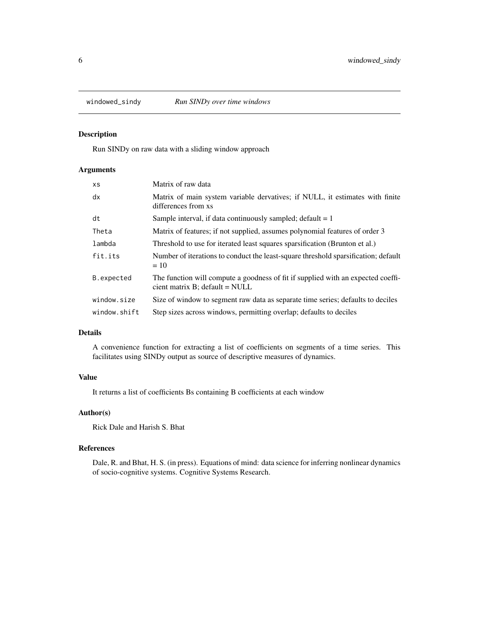<span id="page-5-0"></span>

## Description

Run SINDy on raw data with a sliding window approach

## Arguments

| <b>XS</b>    | Matrix of raw data                                                                                                    |
|--------------|-----------------------------------------------------------------------------------------------------------------------|
| dx           | Matrix of main system variable dervatives; if NULL, it estimates with finite<br>differences from xs                   |
| dt           | Sample interval, if data continuously sampled; default $= 1$                                                          |
| Theta        | Matrix of features; if not supplied, assumes polynomial features of order 3                                           |
| lambda       | Threshold to use for iterated least squares sparsification (Brunton et al.)                                           |
| fit.its      | Number of iterations to conduct the least-square threshold sparsification; default<br>$=10$                           |
| B.expected   | The function will compute a goodness of fit if supplied with an expected coeffi-<br>cient matrix $B$ ; default = NULL |
| window.size  | Size of window to segment raw data as separate time series; defaults to deciles                                       |
| window.shift | Step sizes across windows, permitting overlap; defaults to deciles                                                    |

## Details

A convenience function for extracting a list of coefficients on segments of a time series. This facilitates using SINDy output as source of descriptive measures of dynamics.

## Value

It returns a list of coefficients Bs containing B coefficients at each window

## Author(s)

Rick Dale and Harish S. Bhat

## References

Dale, R. and Bhat, H. S. (in press). Equations of mind: data science for inferring nonlinear dynamics of socio-cognitive systems. Cognitive Systems Research.